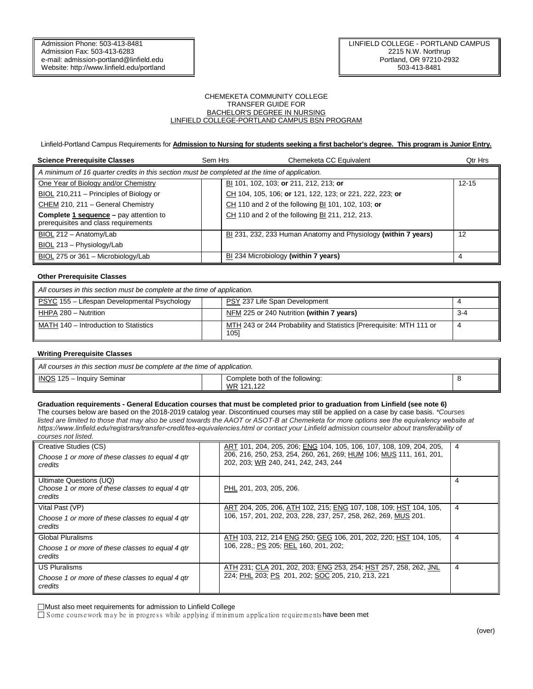#### CHEMEKETA COMMUNITY COLLEGE TRANSFER GUIDE FOR BACHELOR'S DEGREE IN NURSING LINFIELD COLLEGE-PORTLAND CAMPUS BSN PROGRAM

Linfield-Portland Campus Requirements for **Admission to Nursing for students seeking a first bachelor's degree. This program is Junior Entry.** 

| <b>Science Prerequisite Classes</b>                                                           | Sem Hrs | Chemeketa CC Equivalent                                        | Qtr Hrs   |  |  |  |  |  |
|-----------------------------------------------------------------------------------------------|---------|----------------------------------------------------------------|-----------|--|--|--|--|--|
| A minimum of 16 quarter credits in this section must be completed at the time of application. |         |                                                                |           |  |  |  |  |  |
| One Year of Biology and/or Chemistry                                                          |         | BI 101, 102, 103; or 211, 212, 213; or                         | $12 - 15$ |  |  |  |  |  |
| BIOL 210,211 - Principles of Biology or                                                       |         | CH 104, 105, 106; or 121, 122, 123; or 221, 222, 223; or       |           |  |  |  |  |  |
| CHEM 210, 211 - General Chemistry                                                             |         | CH 110 and 2 of the following BI 101, 102, 103; or             |           |  |  |  |  |  |
| <b>Complete 1 sequence</b> – pay attention to<br>prerequisites and class requirements         |         | CH 110 and 2 of the following BI 211, 212, 213.                |           |  |  |  |  |  |
| BIOL 212 - Anatomy/Lab                                                                        |         | BI 231, 232, 233 Human Anatomy and Physiology (within 7 years) | 12        |  |  |  |  |  |
| BIOL 213 - Physiology/Lab                                                                     |         |                                                                |           |  |  |  |  |  |
| BIOL 275 or 361 - Microbiology/Lab                                                            |         | BI 234 Microbiology (within 7 years)                           | 4         |  |  |  |  |  |

# **Other Prerequisite Classes**

| All courses in this section must be complete at the time of application. |  |                                                                             |         |  |  |
|--------------------------------------------------------------------------|--|-----------------------------------------------------------------------------|---------|--|--|
| PSYC 155 - Lifespan Developmental Psychology                             |  | PSY 237 Life Span Development                                               |         |  |  |
| HHPA 280 - Nutrition                                                     |  | NFM 225 or 240 Nutrition (within 7 years)                                   | $3 - 4$ |  |  |
| MATH 140 - Introduction to Statistics                                    |  | MTH 243 or 244 Probability and Statistics [Prerequisite: MTH 111 or<br>1051 | 4       |  |  |

# **Writing Prerequisite Classes**

| All courses in this section must be complete at the time of application. |  |                                               |  |  |
|--------------------------------------------------------------------------|--|-----------------------------------------------|--|--|
| INQS 125 - Inquiry Seminar                                               |  | Complete both of the following:<br>WR 121.122 |  |  |

## **Graduation requirements - General Education courses that must be completed prior to graduation from Linfield (see note 6)**

The courses below are based on the 2018-2019 catalog year. Discontinued courses may still be applied on a case by case basis. *\*Courses listed are limited to those that may also be used towards the AAOT or ASOT-B at Chemeketa for more options see the equivalency website at https://www.linfield.edu/registrars/transfer-credit/tes-equivalencies.html or contact your Linfield admission counselor about transferability of courses not listed.* 

| Creative Studies (CS)<br>Choose 1 or more of these classes to equal 4 gtr<br>credits   | ART 101, 204, 205, 206; ENG 104, 105, 106, 107, 108, 109, 204, 205,<br>206, 216, 250, 253, 254, 260, 261, 269; HUM 106; MUS 111, 161, 201,<br>202, 203; WR 240, 241, 242, 243, 244 | 4 |
|----------------------------------------------------------------------------------------|------------------------------------------------------------------------------------------------------------------------------------------------------------------------------------|---|
| Ultimate Questions (UQ)<br>Choose 1 or more of these classes to equal 4 gtr<br>credits | PHL 201, 203, 205, 206.                                                                                                                                                            | 4 |
| Vital Past (VP)                                                                        | ART 204, 205, 206, ATH 102, 215; ENG 107, 108, 109; HST 104, 105,                                                                                                                  | 4 |
| Choose 1 or more of these classes to equal 4 gtr<br>credits                            | 106, 157, 201, 202, 203, 228, 237, 257, 258, 262, 269, MUS 201.                                                                                                                    |   |
| Global Pluralisms                                                                      | ATH 103, 212, 214 ENG 250; GEG 106, 201, 202, 220; HST 104, 105,                                                                                                                   | 4 |
| Choose 1 or more of these classes to equal 4 gtr<br>credits                            | 106, 228,; PS 205; REL 160, 201, 202;                                                                                                                                              |   |
| <b>US Pluralisms</b>                                                                   | ATH 231; CLA 201, 202, 203; ENG 253, 254; HST 257, 258, 262, JNL                                                                                                                   | 4 |
| Choose 1 or more of these classes to equal 4 gtr<br>credits                            | 224; PHL 203; PS 201, 202; SOC 205, 210, 213, 221                                                                                                                                  |   |

Must also meet requirements for admission to Linfield College

 $\square$  Some course work may be in progress while applying if minimum application requirements have been met